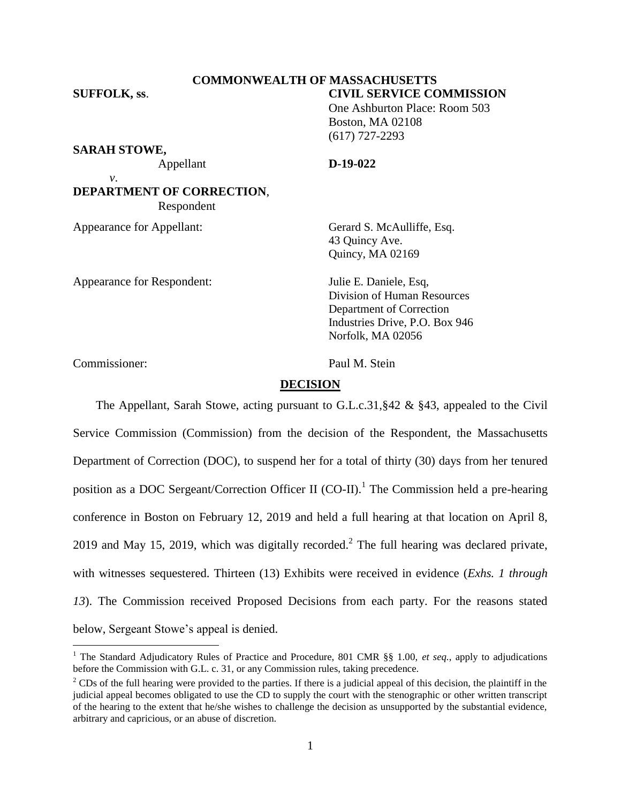### **COMMONWEALTH OF MASSACHUSETTS SUFFOLK, ss**. **CIVIL SERVICE COMMISSION**

One Ashburton Place: Room 503 Boston, MA 02108 (617) 727-2293

**SARAH STOWE,**

*v*.

Appellant **D-19-022**

**DEPARTMENT OF CORRECTION**, Respondent

Appearance for Appellant: Gerard S. McAulliffe, Esq.

Appearance for Respondent: Julie E. Daniele, Esq,

43 Quincy Ave. Quincy, MA 02169

Division of Human Resources Department of Correction Industries Drive, P.O. Box 946 Norfolk, MA 02056

Commissioner: Paul M. Stein

 $\overline{a}$ 

# **DECISION**

The Appellant, Sarah Stowe, acting pursuant to G.L.c.31, §42 & §43, appealed to the Civil Service Commission (Commission) from the decision of the Respondent, the Massachusetts Department of Correction (DOC), to suspend her for a total of thirty (30) days from her tenured position as a DOC Sergeant/Correction Officer II (CO-II).<sup>1</sup> The Commission held a pre-hearing conference in Boston on February 12, 2019 and held a full hearing at that location on April 8, 2019 and May 15, 2019, which was digitally recorded.<sup>2</sup> The full hearing was declared private, with witnesses sequestered. Thirteen (13) Exhibits were received in evidence (*Exhs. 1 through 13*). The Commission received Proposed Decisions from each party. For the reasons stated below, Sergeant Stowe's appeal is denied.

<sup>1</sup> The Standard Adjudicatory Rules of Practice and Procedure, 801 CMR §§ 1.00, *et seq.*, apply to adjudications before the Commission with G.L. c. 31, or any Commission rules, taking precedence.

 $2^2$  CDs of the full hearing were provided to the parties. If there is a judicial appeal of this decision, the plaintiff in the judicial appeal becomes obligated to use the CD to supply the court with the stenographic or other written transcript of the hearing to the extent that he/she wishes to challenge the decision as unsupported by the substantial evidence, arbitrary and capricious, or an abuse of discretion.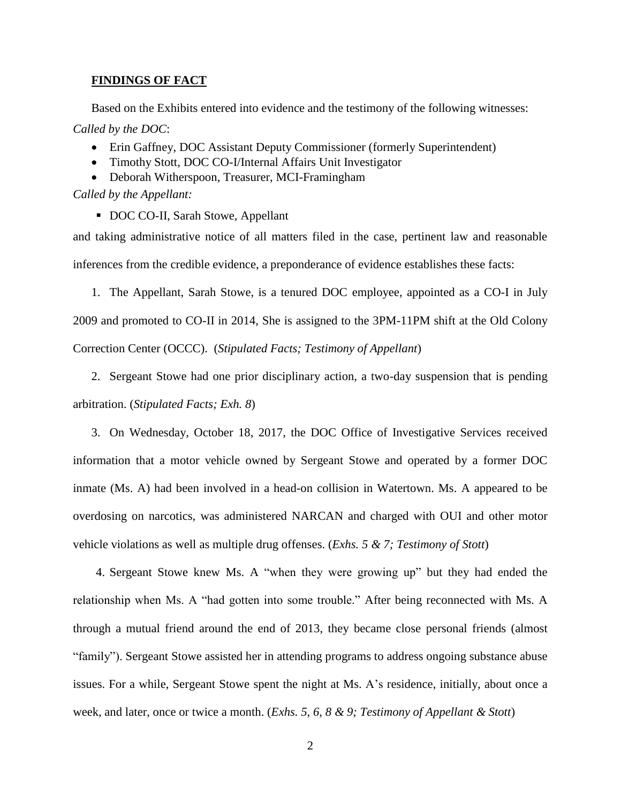### **FINDINGS OF FACT**

Based on the Exhibits entered into evidence and the testimony of the following witnesses: *Called by the DOC*:

- Erin Gaffney, DOC Assistant Deputy Commissioner (formerly Superintendent)
- Timothy Stott, DOC CO-I/Internal Affairs Unit Investigator
- Deborah Witherspoon, Treasurer, MCI-Framingham

*Called by the Appellant:*

DOC CO-II, Sarah Stowe, Appellant

and taking administrative notice of all matters filed in the case, pertinent law and reasonable inferences from the credible evidence, a preponderance of evidence establishes these facts:

1. The Appellant, Sarah Stowe, is a tenured DOC employee, appointed as a CO-I in July 2009 and promoted to CO-II in 2014, She is assigned to the 3PM-11PM shift at the Old Colony Correction Center (OCCC). (*Stipulated Facts; Testimony of Appellant*)

2. Sergeant Stowe had one prior disciplinary action, a two-day suspension that is pending arbitration. (*Stipulated Facts; Exh. 8*)

3. On Wednesday, October 18, 2017, the DOC Office of Investigative Services received information that a motor vehicle owned by Sergeant Stowe and operated by a former DOC inmate (Ms. A) had been involved in a head-on collision in Watertown. Ms. A appeared to be overdosing on narcotics, was administered NARCAN and charged with OUI and other motor vehicle violations as well as multiple drug offenses. (*Exhs. 5 & 7; Testimony of Stott*)

4. Sergeant Stowe knew Ms. A "when they were growing up" but they had ended the relationship when Ms. A "had gotten into some trouble." After being reconnected with Ms. A through a mutual friend around the end of 2013, they became close personal friends (almost "family"). Sergeant Stowe assisted her in attending programs to address ongoing substance abuse issues. For a while, Sergeant Stowe spent the night at Ms. A's residence, initially, about once a week, and later, once or twice a month. (*Exhs. 5, 6, 8 & 9; Testimony of Appellant & Stott*)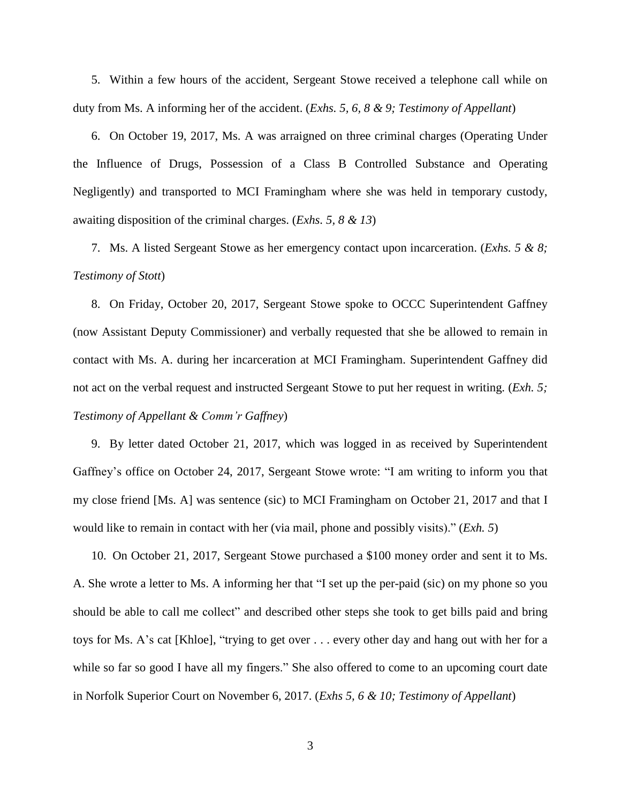5. Within a few hours of the accident, Sergeant Stowe received a telephone call while on duty from Ms. A informing her of the accident. (*Exhs. 5, 6, 8 & 9; Testimony of Appellant*)

6. On October 19, 2017, Ms. A was arraigned on three criminal charges (Operating Under the Influence of Drugs, Possession of a Class B Controlled Substance and Operating Negligently) and transported to MCI Framingham where she was held in temporary custody, awaiting disposition of the criminal charges. (*Exhs. 5, 8 & 13*)

7. Ms. A listed Sergeant Stowe as her emergency contact upon incarceration. (*Exhs. 5 & 8; Testimony of Stott*)

8. On Friday, October 20, 2017, Sergeant Stowe spoke to OCCC Superintendent Gaffney (now Assistant Deputy Commissioner) and verbally requested that she be allowed to remain in contact with Ms. A. during her incarceration at MCI Framingham. Superintendent Gaffney did not act on the verbal request and instructed Sergeant Stowe to put her request in writing. (*Exh. 5; Testimony of Appellant & Comm'r Gaffney*)

9. By letter dated October 21, 2017, which was logged in as received by Superintendent Gaffney's office on October 24, 2017, Sergeant Stowe wrote: "I am writing to inform you that my close friend [Ms. A] was sentence (sic) to MCI Framingham on October 21, 2017 and that I would like to remain in contact with her (via mail, phone and possibly visits)." (*Exh. 5*)

10. On October 21, 2017, Sergeant Stowe purchased a \$100 money order and sent it to Ms. A. She wrote a letter to Ms. A informing her that "I set up the per-paid (sic) on my phone so you should be able to call me collect" and described other steps she took to get bills paid and bring toys for Ms. A's cat [Khloe], "trying to get over . . . every other day and hang out with her for a while so far so good I have all my fingers." She also offered to come to an upcoming court date in Norfolk Superior Court on November 6, 2017. (*Exhs 5, 6 & 10; Testimony of Appellant*)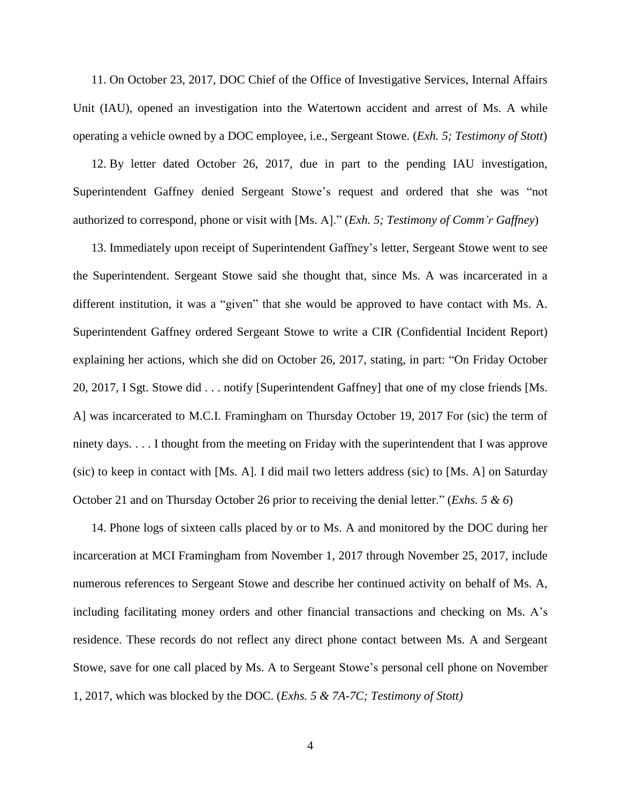11. On October 23, 2017, DOC Chief of the Office of Investigative Services, Internal Affairs Unit (IAU), opened an investigation into the Watertown accident and arrest of Ms. A while operating a vehicle owned by a DOC employee, i.e., Sergeant Stowe. (*Exh. 5; Testimony of Stott*)

12. By letter dated October 26, 2017, due in part to the pending IAU investigation, Superintendent Gaffney denied Sergeant Stowe's request and ordered that she was "not authorized to correspond, phone or visit with [Ms. A]." (*Exh. 5; Testimony of Comm'r Gaffney*)

13. Immediately upon receipt of Superintendent Gaffney's letter, Sergeant Stowe went to see the Superintendent. Sergeant Stowe said she thought that, since Ms. A was incarcerated in a different institution, it was a "given" that she would be approved to have contact with Ms. A. Superintendent Gaffney ordered Sergeant Stowe to write a CIR (Confidential Incident Report) explaining her actions, which she did on October 26, 2017, stating, in part: "On Friday October 20, 2017, I Sgt. Stowe did . . . notify [Superintendent Gaffney] that one of my close friends [Ms. A] was incarcerated to M.C.I. Framingham on Thursday October 19, 2017 For (sic) the term of ninety days. . . . I thought from the meeting on Friday with the superintendent that I was approve (sic) to keep in contact with [Ms. A]. I did mail two letters address (sic) to [Ms. A] on Saturday October 21 and on Thursday October 26 prior to receiving the denial letter." (*Exhs. 5 & 6*)

14. Phone logs of sixteen calls placed by or to Ms. A and monitored by the DOC during her incarceration at MCI Framingham from November 1, 2017 through November 25, 2017, include numerous references to Sergeant Stowe and describe her continued activity on behalf of Ms. A, including facilitating money orders and other financial transactions and checking on Ms. A's residence. These records do not reflect any direct phone contact between Ms. A and Sergeant Stowe, save for one call placed by Ms. A to Sergeant Stowe's personal cell phone on November 1, 2017, which was blocked by the DOC. (*Exhs. 5 & 7A-7C; Testimony of Stott)*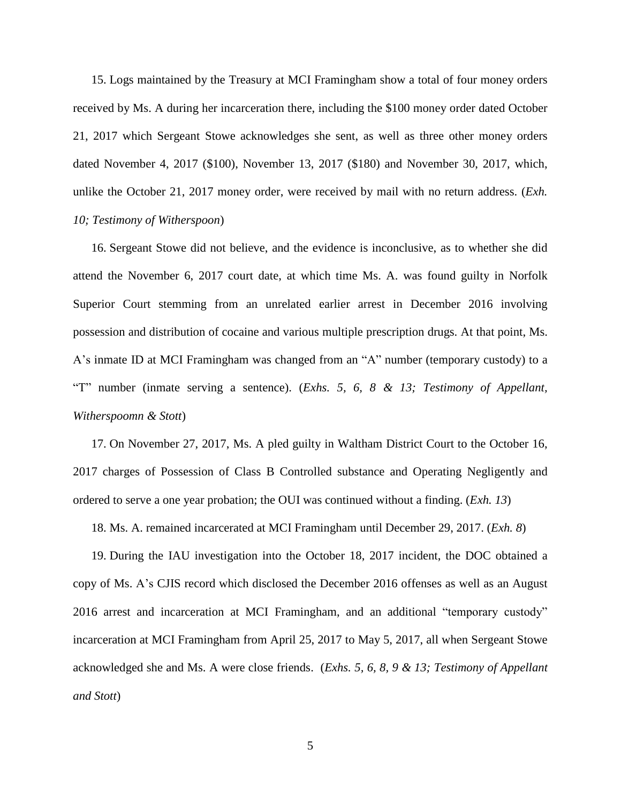15. Logs maintained by the Treasury at MCI Framingham show a total of four money orders received by Ms. A during her incarceration there, including the \$100 money order dated October 21, 2017 which Sergeant Stowe acknowledges she sent, as well as three other money orders dated November 4, 2017 (\$100), November 13, 2017 (\$180) and November 30, 2017, which, unlike the October 21, 2017 money order, were received by mail with no return address. (*Exh. 10; Testimony of Witherspoon*)

16. Sergeant Stowe did not believe, and the evidence is inconclusive, as to whether she did attend the November 6, 2017 court date, at which time Ms. A. was found guilty in Norfolk Superior Court stemming from an unrelated earlier arrest in December 2016 involving possession and distribution of cocaine and various multiple prescription drugs. At that point, Ms. A's inmate ID at MCI Framingham was changed from an "A" number (temporary custody) to a "T" number (inmate serving a sentence). (*Exhs. 5, 6, 8 & 13; Testimony of Appellant, Witherspoomn & Stott*)

17. On November 27, 2017, Ms. A pled guilty in Waltham District Court to the October 16, 2017 charges of Possession of Class B Controlled substance and Operating Negligently and ordered to serve a one year probation; the OUI was continued without a finding. (*Exh. 13*)

18. Ms. A. remained incarcerated at MCI Framingham until December 29, 2017. (*Exh. 8*)

19. During the IAU investigation into the October 18, 2017 incident, the DOC obtained a copy of Ms. A's CJIS record which disclosed the December 2016 offenses as well as an August 2016 arrest and incarceration at MCI Framingham, and an additional "temporary custody" incarceration at MCI Framingham from April 25, 2017 to May 5, 2017, all when Sergeant Stowe acknowledged she and Ms. A were close friends. (*Exhs. 5, 6, 8, 9 & 13; Testimony of Appellant and Stott*)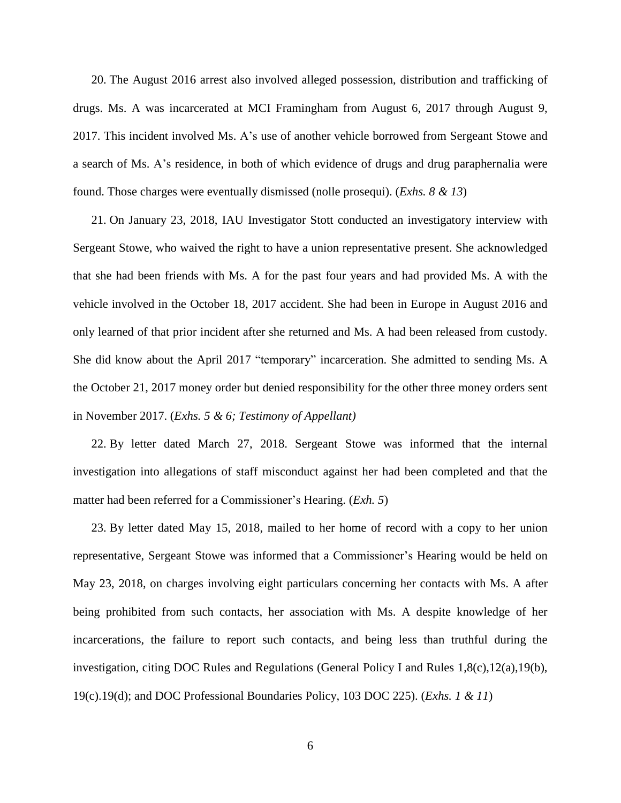20. The August 2016 arrest also involved alleged possession, distribution and trafficking of drugs. Ms. A was incarcerated at MCI Framingham from August 6, 2017 through August 9, 2017. This incident involved Ms. A's use of another vehicle borrowed from Sergeant Stowe and a search of Ms. A's residence, in both of which evidence of drugs and drug paraphernalia were found. Those charges were eventually dismissed (nolle prosequi). (*Exhs. 8 & 13*)

21. On January 23, 2018, IAU Investigator Stott conducted an investigatory interview with Sergeant Stowe, who waived the right to have a union representative present. She acknowledged that she had been friends with Ms. A for the past four years and had provided Ms. A with the vehicle involved in the October 18, 2017 accident. She had been in Europe in August 2016 and only learned of that prior incident after she returned and Ms. A had been released from custody. She did know about the April 2017 "temporary" incarceration. She admitted to sending Ms. A the October 21, 2017 money order but denied responsibility for the other three money orders sent in November 2017. (*Exhs. 5 & 6; Testimony of Appellant)*

22. By letter dated March 27, 2018. Sergeant Stowe was informed that the internal investigation into allegations of staff misconduct against her had been completed and that the matter had been referred for a Commissioner's Hearing. (*Exh. 5*)

23. By letter dated May 15, 2018, mailed to her home of record with a copy to her union representative, Sergeant Stowe was informed that a Commissioner's Hearing would be held on May 23, 2018, on charges involving eight particulars concerning her contacts with Ms. A after being prohibited from such contacts, her association with Ms. A despite knowledge of her incarcerations, the failure to report such contacts, and being less than truthful during the investigation, citing DOC Rules and Regulations (General Policy I and Rules 1,8(c),12(a),19(b), 19(c).19(d); and DOC Professional Boundaries Policy, 103 DOC 225). (*Exhs. 1 & 11*)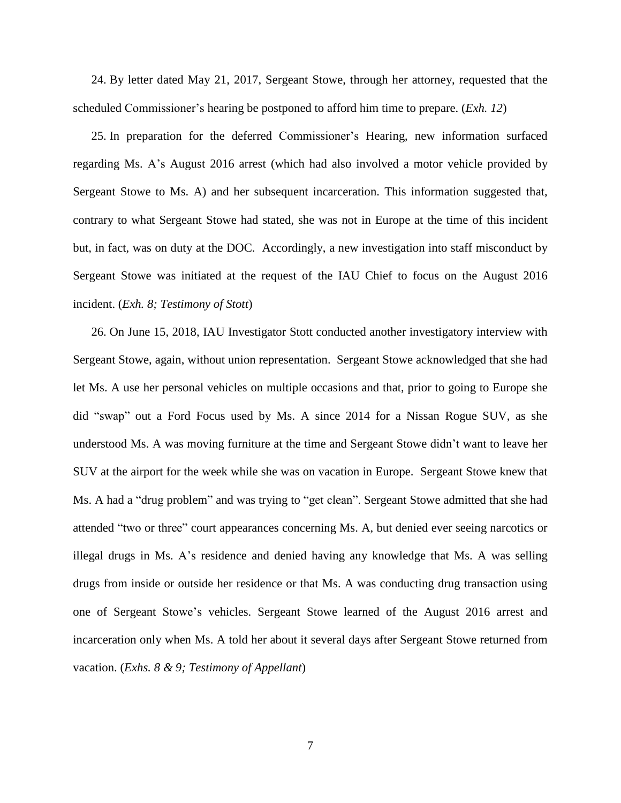24. By letter dated May 21, 2017, Sergeant Stowe, through her attorney, requested that the scheduled Commissioner's hearing be postponed to afford him time to prepare. (*Exh. 12*)

25. In preparation for the deferred Commissioner's Hearing, new information surfaced regarding Ms. A's August 2016 arrest (which had also involved a motor vehicle provided by Sergeant Stowe to Ms. A) and her subsequent incarceration. This information suggested that, contrary to what Sergeant Stowe had stated, she was not in Europe at the time of this incident but, in fact, was on duty at the DOC. Accordingly, a new investigation into staff misconduct by Sergeant Stowe was initiated at the request of the IAU Chief to focus on the August 2016 incident. (*Exh. 8; Testimony of Stott*)

26. On June 15, 2018, IAU Investigator Stott conducted another investigatory interview with Sergeant Stowe, again, without union representation. Sergeant Stowe acknowledged that she had let Ms. A use her personal vehicles on multiple occasions and that, prior to going to Europe she did "swap" out a Ford Focus used by Ms. A since 2014 for a Nissan Rogue SUV, as she understood Ms. A was moving furniture at the time and Sergeant Stowe didn't want to leave her SUV at the airport for the week while she was on vacation in Europe. Sergeant Stowe knew that Ms. A had a "drug problem" and was trying to "get clean". Sergeant Stowe admitted that she had attended "two or three" court appearances concerning Ms. A, but denied ever seeing narcotics or illegal drugs in Ms. A's residence and denied having any knowledge that Ms. A was selling drugs from inside or outside her residence or that Ms. A was conducting drug transaction using one of Sergeant Stowe's vehicles. Sergeant Stowe learned of the August 2016 arrest and incarceration only when Ms. A told her about it several days after Sergeant Stowe returned from vacation. (*Exhs. 8 & 9; Testimony of Appellant*)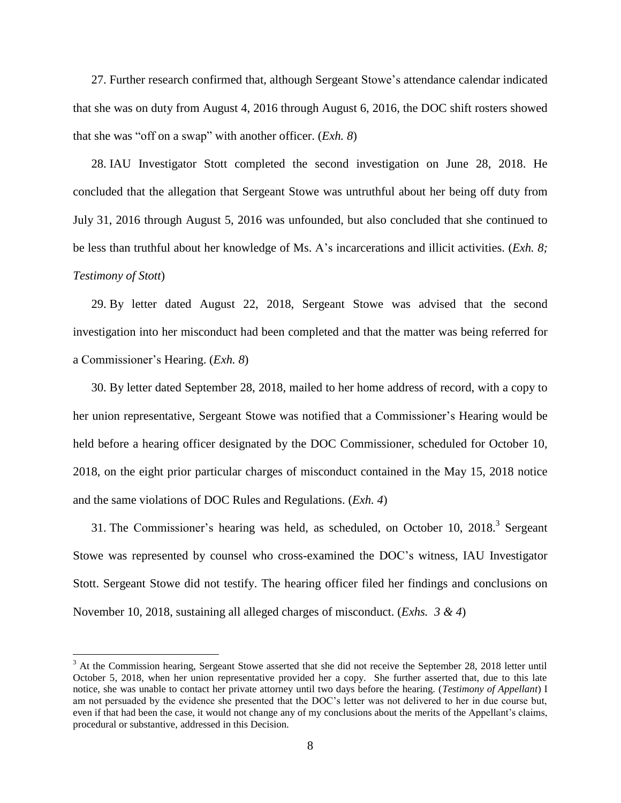27. Further research confirmed that, although Sergeant Stowe's attendance calendar indicated that she was on duty from August 4, 2016 through August 6, 2016, the DOC shift rosters showed that she was "off on a swap" with another officer. (*Exh. 8*)

28. IAU Investigator Stott completed the second investigation on June 28, 2018. He concluded that the allegation that Sergeant Stowe was untruthful about her being off duty from July 31, 2016 through August 5, 2016 was unfounded, but also concluded that she continued to be less than truthful about her knowledge of Ms. A's incarcerations and illicit activities. (*Exh. 8; Testimony of Stott*)

29. By letter dated August 22, 2018, Sergeant Stowe was advised that the second investigation into her misconduct had been completed and that the matter was being referred for a Commissioner's Hearing. (*Exh. 8*)

30. By letter dated September 28, 2018, mailed to her home address of record, with a copy to her union representative, Sergeant Stowe was notified that a Commissioner's Hearing would be held before a hearing officer designated by the DOC Commissioner, scheduled for October 10, 2018, on the eight prior particular charges of misconduct contained in the May 15, 2018 notice and the same violations of DOC Rules and Regulations. (*Exh. 4*)

31. The Commissioner's hearing was held, as scheduled, on October 10, 2018. $3$  Sergeant Stowe was represented by counsel who cross-examined the DOC's witness, IAU Investigator Stott. Sergeant Stowe did not testify. The hearing officer filed her findings and conclusions on November 10, 2018, sustaining all alleged charges of misconduct. (*Exhs. 3 & 4*)

 $\overline{a}$ 

<sup>&</sup>lt;sup>3</sup> At the Commission hearing, Sergeant Stowe asserted that she did not receive the September 28, 2018 letter until October 5, 2018, when her union representative provided her a copy. She further asserted that, due to this late notice, she was unable to contact her private attorney until two days before the hearing. (*Testimony of Appellant*) I am not persuaded by the evidence she presented that the DOC's letter was not delivered to her in due course but, even if that had been the case, it would not change any of my conclusions about the merits of the Appellant's claims, procedural or substantive, addressed in this Decision.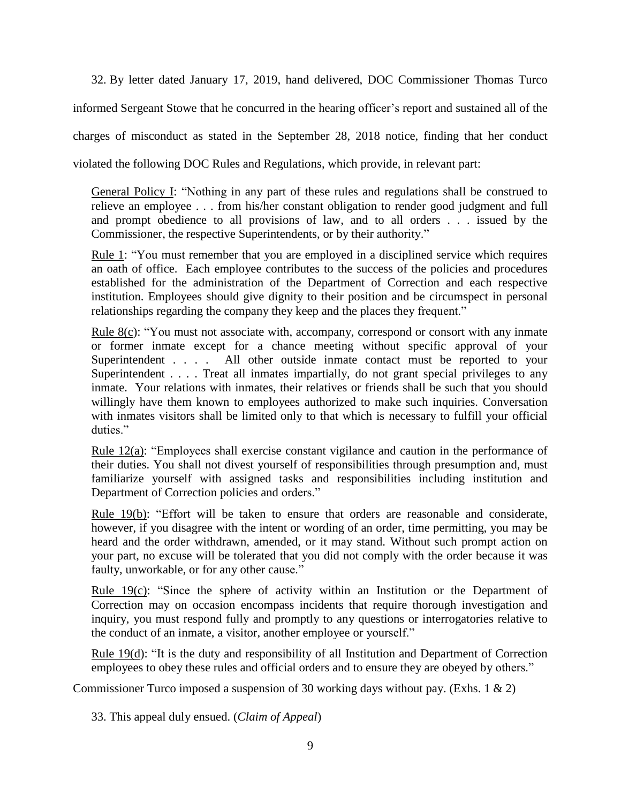32. By letter dated January 17, 2019, hand delivered, DOC Commissioner Thomas Turco

informed Sergeant Stowe that he concurred in the hearing officer's report and sustained all of the

charges of misconduct as stated in the September 28, 2018 notice, finding that her conduct

violated the following DOC Rules and Regulations, which provide, in relevant part:

General Policy I: "Nothing in any part of these rules and regulations shall be construed to relieve an employee . . . from his/her constant obligation to render good judgment and full and prompt obedience to all provisions of law, and to all orders . . . issued by the Commissioner, the respective Superintendents, or by their authority."

Rule 1: "You must remember that you are employed in a disciplined service which requires an oath of office. Each employee contributes to the success of the policies and procedures established for the administration of the Department of Correction and each respective institution. Employees should give dignity to their position and be circumspect in personal relationships regarding the company they keep and the places they frequent."

Rule 8(c): "You must not associate with, accompany, correspond or consort with any inmate or former inmate except for a chance meeting without specific approval of your Superintendent . . . . All other outside inmate contact must be reported to your Superintendent . . . . Treat all inmates impartially, do not grant special privileges to any inmate. Your relations with inmates, their relatives or friends shall be such that you should willingly have them known to employees authorized to make such inquiries. Conversation with inmates visitors shall be limited only to that which is necessary to fulfill your official duties."

Rule  $12(a)$ : "Employees shall exercise constant vigilance and caution in the performance of their duties. You shall not divest yourself of responsibilities through presumption and, must familiarize yourself with assigned tasks and responsibilities including institution and Department of Correction policies and orders."

Rule 19(b): "Effort will be taken to ensure that orders are reasonable and considerate, however, if you disagree with the intent or wording of an order, time permitting, you may be heard and the order withdrawn, amended, or it may stand. Without such prompt action on your part, no excuse will be tolerated that you did not comply with the order because it was faulty, unworkable, or for any other cause."

Rule 19(c): "Since the sphere of activity within an Institution or the Department of Correction may on occasion encompass incidents that require thorough investigation and inquiry, you must respond fully and promptly to any questions or interrogatories relative to the conduct of an inmate, a visitor, another employee or yourself."

Rule 19(d): "It is the duty and responsibility of all Institution and Department of Correction employees to obey these rules and official orders and to ensure they are obeyed by others."

Commissioner Turco imposed a suspension of 30 working days without pay. (Exhs. 1 & 2)

33. This appeal duly ensued. (*Claim of Appeal*)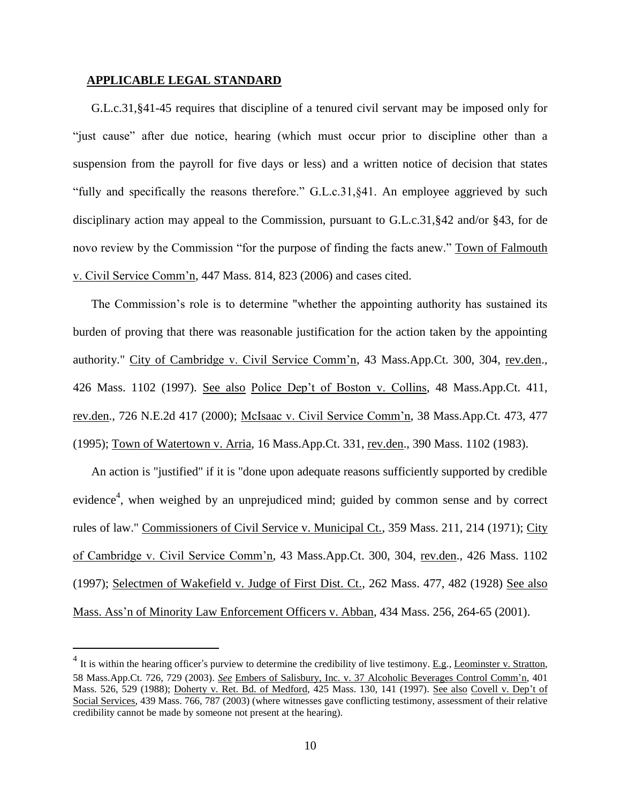### **APPLICABLE LEGAL STANDARD**

 $\overline{a}$ 

G.L.c.31,§41-45 requires that discipline of a tenured civil servant may be imposed only for "just cause" after due notice, hearing (which must occur prior to discipline other than a suspension from the payroll for five days or less) and a written notice of decision that states "fully and specifically the reasons therefore." G.L.c.31,§41. An employee aggrieved by such disciplinary action may appeal to the Commission, pursuant to G.L.c.31,§42 and/or §43, for de novo review by the Commission "for the purpose of finding the facts anew." Town of Falmouth v. Civil Service Comm'n, 447 Mass. 814, 823 (2006) and cases cited.

The Commission's role is to determine "whether the appointing authority has sustained its burden of proving that there was reasonable justification for the action taken by the appointing authority." City of Cambridge v. Civil Service Comm'n, 43 Mass.App.Ct. 300, 304, rev.den., 426 Mass. 1102 (1997). See also Police Dep't of Boston v. Collins, 48 Mass.App.Ct. 411, rev.den., 726 N.E.2d 417 (2000); McIsaac v. Civil Service Comm'n, 38 Mass.App.Ct. 473, 477 (1995); Town of Watertown v. Arria, 16 Mass.App.Ct. 331, rev.den., 390 Mass. 1102 (1983).

An action is "justified" if it is "done upon adequate reasons sufficiently supported by credible evidence<sup>4</sup>, when weighed by an unprejudiced mind; guided by common sense and by correct rules of law." Commissioners of Civil Service v. Municipal Ct., 359 Mass. 211, 214 (1971); City of Cambridge v. Civil Service Comm'n, 43 Mass.App.Ct. 300, 304, rev.den., 426 Mass. 1102 (1997); Selectmen of Wakefield v. Judge of First Dist. Ct., 262 Mass. 477, 482 (1928) See also Mass. Ass'n of Minority Law Enforcement Officers v. Abban, 434 Mass. 256, 264-65 (2001).

 $<sup>4</sup>$  It is within the hearing officer's purview to determine the credibility of live testimony. <u>E.g., Leominster v. Stratton</u>,</sup> 58 Mass.App.Ct. 726, 729 (2003). *See* Embers of Salisbury, Inc. v. 37 Alcoholic Beverages Control Comm'n, 401 Mass. 526, 529 (1988); Doherty v. Ret. Bd. of Medford, 425 Mass. 130, 141 (1997). See also Covell v. Dep't of Social Services, 439 Mass. 766, 787 (2003) (where witnesses gave conflicting testimony, assessment of their relative credibility cannot be made by someone not present at the hearing).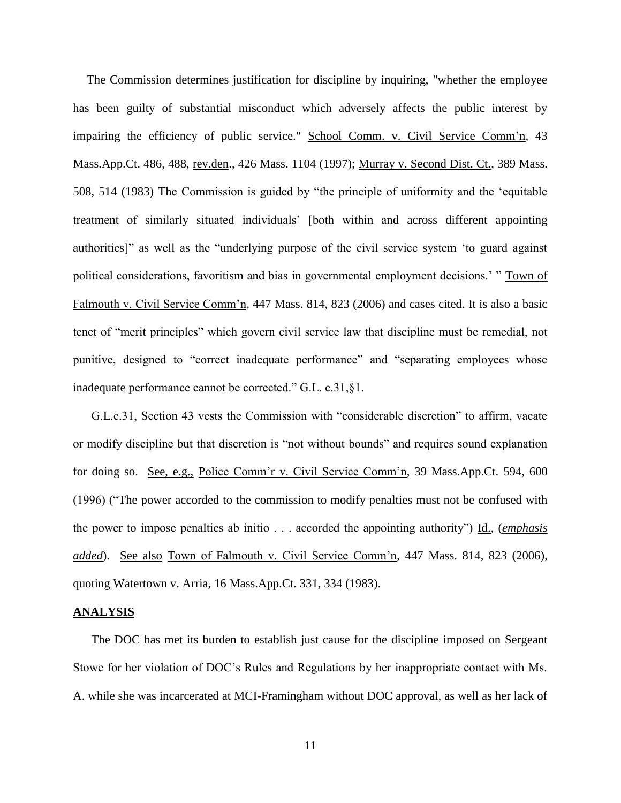The Commission determines justification for discipline by inquiring, "whether the employee has been guilty of substantial misconduct which adversely affects the public interest by impairing the efficiency of public service." School Comm. v. Civil Service Comm'n, 43 Mass.App.Ct. 486, 488, rev.den., 426 Mass. 1104 (1997); Murray v. Second Dist. Ct., 389 Mass. 508, 514 (1983) The Commission is guided by "the principle of uniformity and the 'equitable treatment of similarly situated individuals' [both within and across different appointing authorities]" as well as the "underlying purpose of the civil service system 'to guard against political considerations, favoritism and bias in governmental employment decisions.' " Town of Falmouth v. Civil Service Comm'n, 447 Mass. 814, 823 (2006) and cases cited. It is also a basic tenet of "merit principles" which govern civil service law that discipline must be remedial, not punitive, designed to "correct inadequate performance" and "separating employees whose inadequate performance cannot be corrected." G.L. c.31,§1.

G.L.c.31, Section 43 vests the Commission with "considerable discretion" to affirm, vacate or modify discipline but that discretion is "not without bounds" and requires sound explanation for doing so. See, e.g., Police Comm'r v. Civil Service Comm'n, 39 Mass.App.Ct. 594, 600 (1996) ("The power accorded to the commission to modify penalties must not be confused with the power to impose penalties ab initio . . . accorded the appointing authority") Id., (*emphasis added*). See also Town of Falmouth v. Civil Service Comm'n, 447 Mass. 814, 823 (2006), quoting Watertown v. Arria, 16 Mass.App.Ct. 331, 334 (1983).

#### **ANALYSIS**

The DOC has met its burden to establish just cause for the discipline imposed on Sergeant Stowe for her violation of DOC's Rules and Regulations by her inappropriate contact with Ms. A. while she was incarcerated at MCI-Framingham without DOC approval, as well as her lack of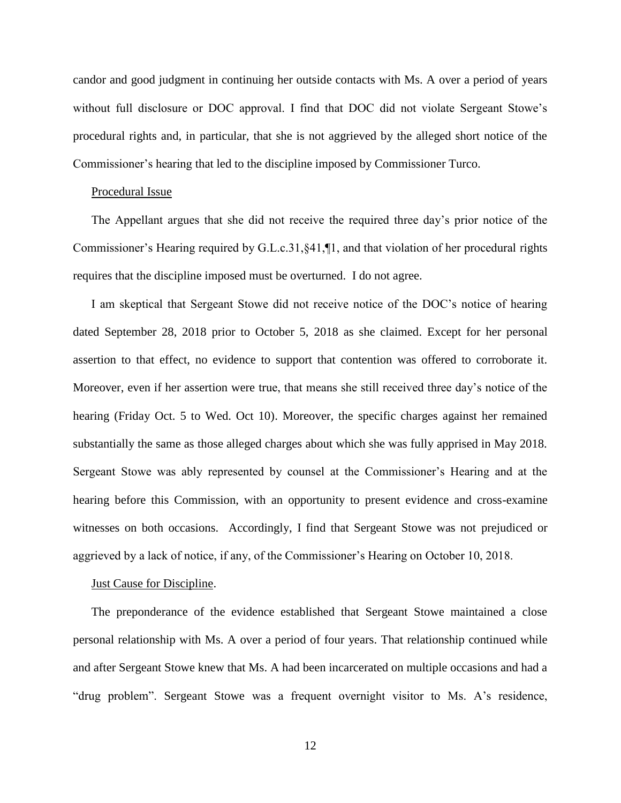candor and good judgment in continuing her outside contacts with Ms. A over a period of years without full disclosure or DOC approval. I find that DOC did not violate Sergeant Stowe's procedural rights and, in particular, that she is not aggrieved by the alleged short notice of the Commissioner's hearing that led to the discipline imposed by Commissioner Turco.

## Procedural Issue

The Appellant argues that she did not receive the required three day's prior notice of the Commissioner's Hearing required by G.L.c.31,§41,¶1, and that violation of her procedural rights requires that the discipline imposed must be overturned. I do not agree.

I am skeptical that Sergeant Stowe did not receive notice of the DOC's notice of hearing dated September 28, 2018 prior to October 5, 2018 as she claimed. Except for her personal assertion to that effect, no evidence to support that contention was offered to corroborate it. Moreover, even if her assertion were true, that means she still received three day's notice of the hearing (Friday Oct. 5 to Wed. Oct 10). Moreover, the specific charges against her remained substantially the same as those alleged charges about which she was fully apprised in May 2018. Sergeant Stowe was ably represented by counsel at the Commissioner's Hearing and at the hearing before this Commission, with an opportunity to present evidence and cross-examine witnesses on both occasions. Accordingly, I find that Sergeant Stowe was not prejudiced or aggrieved by a lack of notice, if any, of the Commissioner's Hearing on October 10, 2018.

#### Just Cause for Discipline.

The preponderance of the evidence established that Sergeant Stowe maintained a close personal relationship with Ms. A over a period of four years. That relationship continued while and after Sergeant Stowe knew that Ms. A had been incarcerated on multiple occasions and had a "drug problem". Sergeant Stowe was a frequent overnight visitor to Ms. A's residence,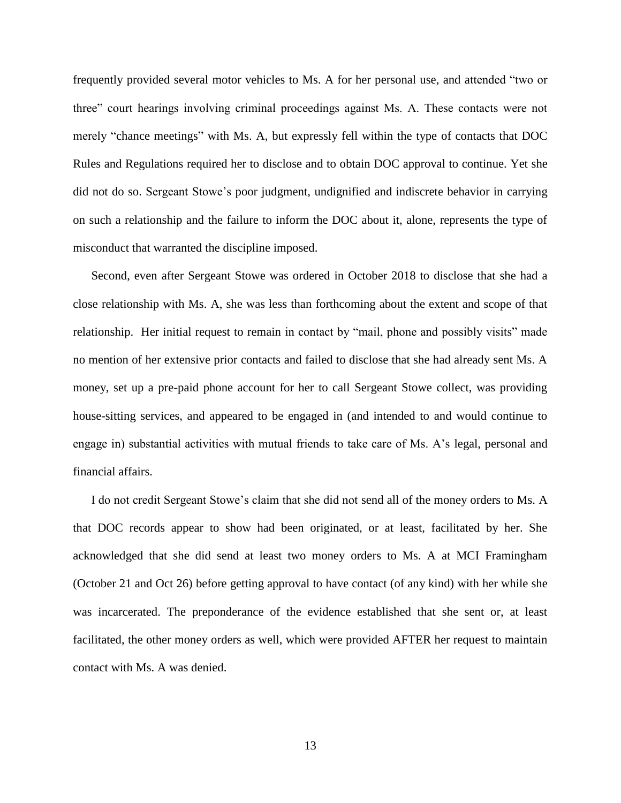frequently provided several motor vehicles to Ms. A for her personal use, and attended "two or three" court hearings involving criminal proceedings against Ms. A. These contacts were not merely "chance meetings" with Ms. A, but expressly fell within the type of contacts that DOC Rules and Regulations required her to disclose and to obtain DOC approval to continue. Yet she did not do so. Sergeant Stowe's poor judgment, undignified and indiscrete behavior in carrying on such a relationship and the failure to inform the DOC about it, alone, represents the type of misconduct that warranted the discipline imposed.

Second, even after Sergeant Stowe was ordered in October 2018 to disclose that she had a close relationship with Ms. A, she was less than forthcoming about the extent and scope of that relationship. Her initial request to remain in contact by "mail, phone and possibly visits" made no mention of her extensive prior contacts and failed to disclose that she had already sent Ms. A money, set up a pre-paid phone account for her to call Sergeant Stowe collect, was providing house-sitting services, and appeared to be engaged in (and intended to and would continue to engage in) substantial activities with mutual friends to take care of Ms. A's legal, personal and financial affairs.

I do not credit Sergeant Stowe's claim that she did not send all of the money orders to Ms. A that DOC records appear to show had been originated, or at least, facilitated by her. She acknowledged that she did send at least two money orders to Ms. A at MCI Framingham (October 21 and Oct 26) before getting approval to have contact (of any kind) with her while she was incarcerated. The preponderance of the evidence established that she sent or, at least facilitated, the other money orders as well, which were provided AFTER her request to maintain contact with Ms. A was denied.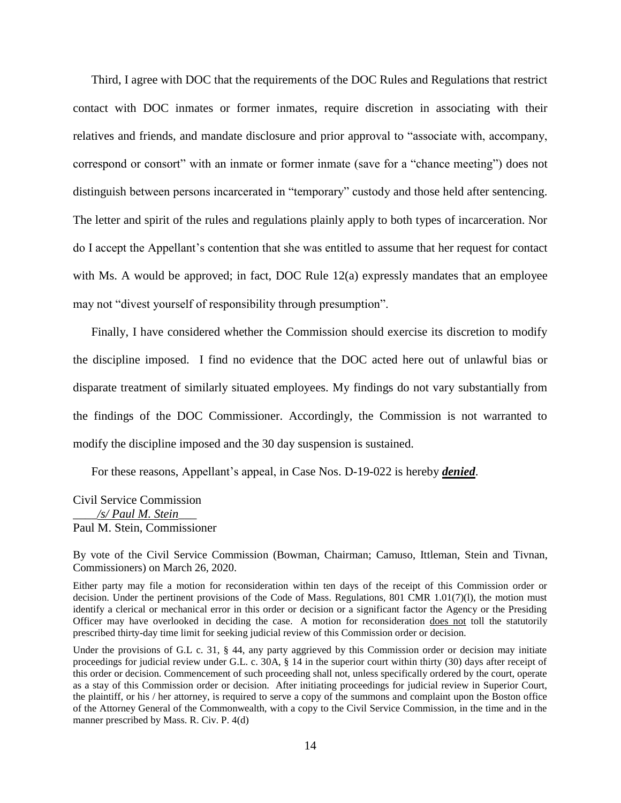Third, I agree with DOC that the requirements of the DOC Rules and Regulations that restrict contact with DOC inmates or former inmates, require discretion in associating with their relatives and friends, and mandate disclosure and prior approval to "associate with, accompany, correspond or consort" with an inmate or former inmate (save for a "chance meeting") does not distinguish between persons incarcerated in "temporary" custody and those held after sentencing. The letter and spirit of the rules and regulations plainly apply to both types of incarceration. Nor do I accept the Appellant's contention that she was entitled to assume that her request for contact with Ms. A would be approved; in fact, DOC Rule 12(a) expressly mandates that an employee may not "divest yourself of responsibility through presumption".

Finally, I have considered whether the Commission should exercise its discretion to modify the discipline imposed. I find no evidence that the DOC acted here out of unlawful bias or disparate treatment of similarly situated employees. My findings do not vary substantially from the findings of the DOC Commissioner. Accordingly, the Commission is not warranted to modify the discipline imposed and the 30 day suspension is sustained.

For these reasons, Appellant's appeal, in Case Nos. D-19-022 is hereby *denied*.

Civil Service Commission \_\_\_\_*/s/ Paul M. Stein*\_\_\_ Paul M. Stein, Commissioner

By vote of the Civil Service Commission (Bowman, Chairman; Camuso, Ittleman, Stein and Tivnan, Commissioners) on March 26, 2020.

Either party may file a motion for reconsideration within ten days of the receipt of this Commission order or decision. Under the pertinent provisions of the Code of Mass. Regulations, 801 CMR 1.01(7)(l), the motion must identify a clerical or mechanical error in this order or decision or a significant factor the Agency or the Presiding Officer may have overlooked in deciding the case. A motion for reconsideration does not toll the statutorily prescribed thirty-day time limit for seeking judicial review of this Commission order or decision.

Under the provisions of G.L c. 31, § 44, any party aggrieved by this Commission order or decision may initiate proceedings for judicial review under G.L. c. 30A, § 14 in the superior court within thirty (30) days after receipt of this order or decision. Commencement of such proceeding shall not, unless specifically ordered by the court, operate as a stay of this Commission order or decision. After initiating proceedings for judicial review in Superior Court, the plaintiff, or his / her attorney, is required to serve a copy of the summons and complaint upon the Boston office of the Attorney General of the Commonwealth, with a copy to the Civil Service Commission, in the time and in the manner prescribed by Mass. R. Civ. P. 4(d)